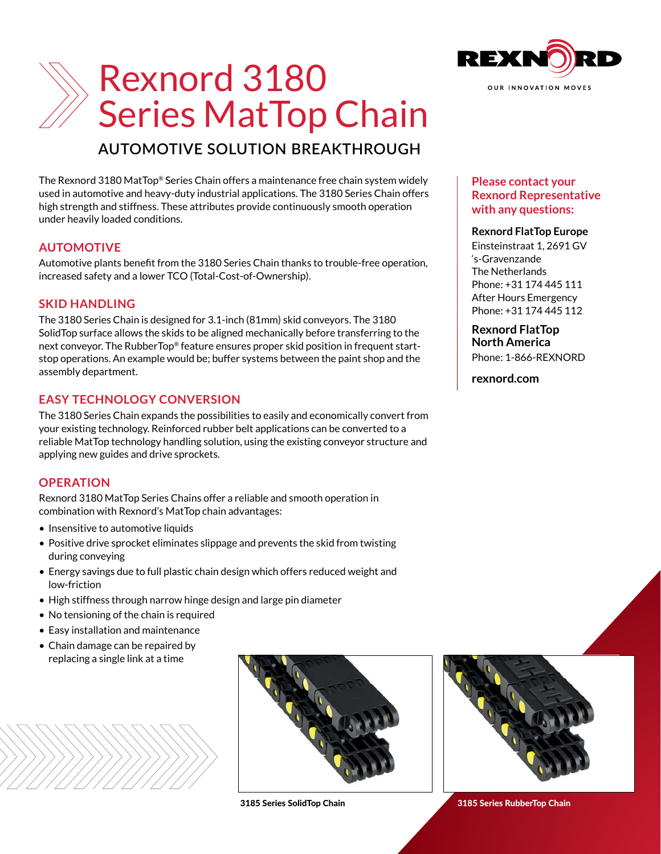

## **AUTOMOTIVE SOLUTION BREAKTHROUGH**

The Rexnord 3180 MatTop® Series Chain offers a maintenance free chain system widely used in automotive and heavy-duty industrial applications. The 3180 Series Chain offers high strength and stiffness. These attributes provide continuously smooth operation under heavily loaded conditions.

### **AUTOMOTIVE**

Automotive plants benefit from the 3180 Series Chain thanks to trouble-free operation, increased safety and a lower TCO (Total-Cost-of-Ownership).

#### **SKID HANDLING**

The 3180 Series Chain is designed for 3.1-inch (81mm) skid conveyors. The 3180 SolidTop surface allows the skids to be aligned mechanically before transferring to the next conveyor. The RubberTop® feature ensures proper skid position in frequent startstop operations. An example would be; buffer systems between the paint shop and the assembly department.

#### **EASY TECHNOLOGY CONVERSION**

The 3180 Series Chain expands the possibilities to easily and economically convert from your existing technology. Reinforced rubber belt applications can be converted to a reliable MatTop technology handling solution, using the existing conveyor structure and applying new guides and drive sprockets.

#### **OPERATION**

Rexnord 3180 MatTop Series Chains offer a reliable and smooth operation in combination with Rexnord's MatTop chain advantages:

- Insensitive to automotive liquids
- Positive drive sprocket eliminates slippage and prevents the skid from twisting during conveying
- Energy savings due to full plastic chain design which offers reduced weight and low-friction
- High stiffness through narrow hinge design and large pin diameter
- No tensioning of the chain is required
- Easy installation and maintenance
- Chain damage can be repaired by replacing a single link at a time







#### **Please contact your Rexnord Representative with any questions:**

#### **Rexnord FlatTop Europe**

Einsteinstraat 1, 2691 GV 's-Gravenzande The Netherlands Phone: +31 174 445 111 After Hours Emergency Phone: +31 174 445 112

## **Rexnord FlatTop North America**

Phone: 1-866-REXNORD

**[rexnord.com](https://www.rexnord.com/home.aspx)**



3185 Series SolidTop Chain 3185 Series RubberTop Chain